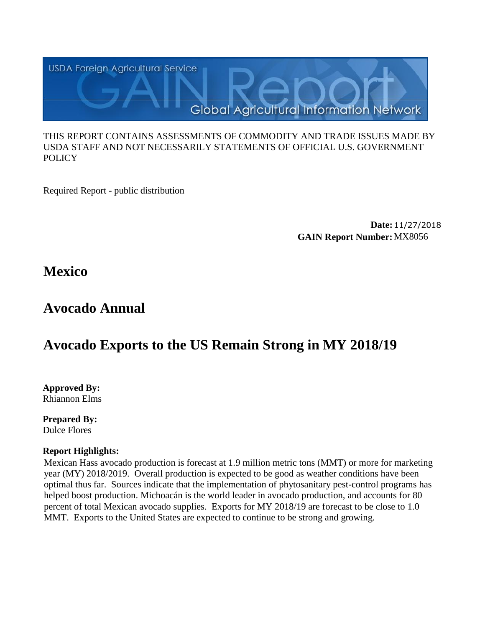

#### THIS REPORT CONTAINS ASSESSMENTS OF COMMODITY AND TRADE ISSUES MADE BY USDA STAFF AND NOT NECESSARILY STATEMENTS OF OFFICIAL U.S. GOVERNMENT **POLICY**

Required Report - public distribution

**Date:**11/27/2018 **GAIN Report Number:**MX8056

**Mexico**

# **Avocado Annual**

# **Avocado Exports to the US Remain Strong in MY 2018/19**

**Approved By:**  Rhiannon Elms

**Prepared By:**  Dulce Flores

# **Report Highlights:**

Mexican Hass avocado production is forecast at 1.9 million metric tons (MMT) or more for marketing year (MY) 2018/2019. Overall production is expected to be good as weather conditions have been optimal thus far. Sources indicate that the implementation of phytosanitary pest-control programs has helped boost production. Michoacán is the world leader in avocado production, and accounts for 80 percent of total Mexican avocado supplies. Exports for MY 2018/19 are forecast to be close to 1.0 MMT. Exports to the United States are expected to continue to be strong and growing.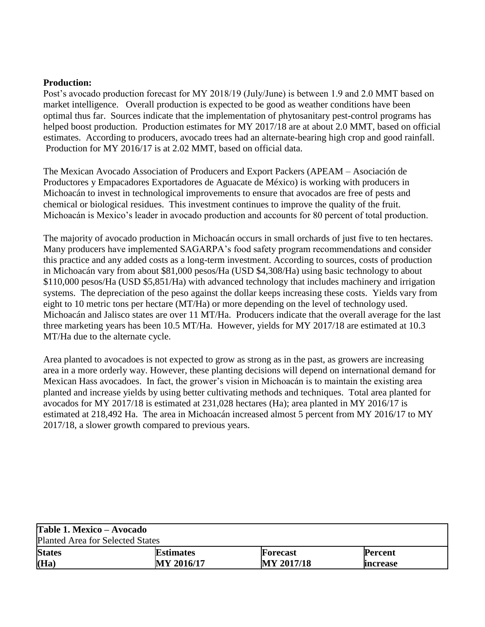#### **Production:**

Post's avocado production forecast for MY 2018/19 (July/June) is between 1.9 and 2.0 MMT based on market intelligence. Overall production is expected to be good as weather conditions have been optimal thus far. Sources indicate that the implementation of phytosanitary pest-control programs has helped boost production. Production estimates for MY 2017/18 are at about 2.0 MMT, based on official estimates. According to producers, avocado trees had an alternate-bearing high crop and good rainfall. Production for MY 2016/17 is at 2.02 MMT, based on official data.

The Mexican Avocado Association of Producers and Export Packers (APEAM – Asociación de Productores y Empacadores Exportadores de Aguacate de México) is working with producers in Michoacán to invest in technological improvements to ensure that avocados are free of pests and chemical or biological residues. This investment continues to improve the quality of the fruit. Michoacán is Mexico's leader in avocado production and accounts for 80 percent of total production.

The majority of avocado production in Michoacán occurs in small orchards of just five to ten hectares. Many producers have implemented SAGARPA's food safety program recommendations and consider this practice and any added costs as a long-term investment. According to sources, costs of production in Michoacán vary from about \$81,000 pesos/Ha (USD \$4,308/Ha) using basic technology to about \$110,000 pesos/Ha (USD \$5,851/Ha) with advanced technology that includes machinery and irrigation systems. The depreciation of the peso against the dollar keeps increasing these costs. Yields vary from eight to 10 metric tons per hectare (MT/Ha) or more depending on the level of technology used. Michoacán and Jalisco states are over 11 MT/Ha. Producers indicate that the overall average for the last three marketing years has been 10.5 MT/Ha. However, yields for MY 2017/18 are estimated at 10.3 MT/Ha due to the alternate cycle.

Area planted to avocadoes is not expected to grow as strong as in the past, as growers are increasing area in a more orderly way. However, these planting decisions will depend on international demand for Mexican Hass avocadoes. In fact, the grower's vision in Michoacán is to maintain the existing area planted and increase yields by using better cultivating methods and techniques. Total area planted for avocados for MY 2017/18 is estimated at 231,028 hectares (Ha); area planted in MY 2016/17 is estimated at 218,492 Ha. The area in Michoacán increased almost 5 percent from MY 2016/17 to MY 2017/18, a slower growth compared to previous years.

| Table 1. Mexico – Avocado        |                  |                 |                 |  |
|----------------------------------|------------------|-----------------|-----------------|--|
| Planted Area for Selected States |                  |                 |                 |  |
| <b>States</b>                    | <b>Estimates</b> | <b>Forecast</b> | <b>Percent</b>  |  |
| (Ha)                             | MY 2016/17       | MY 2017/18      | <b>Increase</b> |  |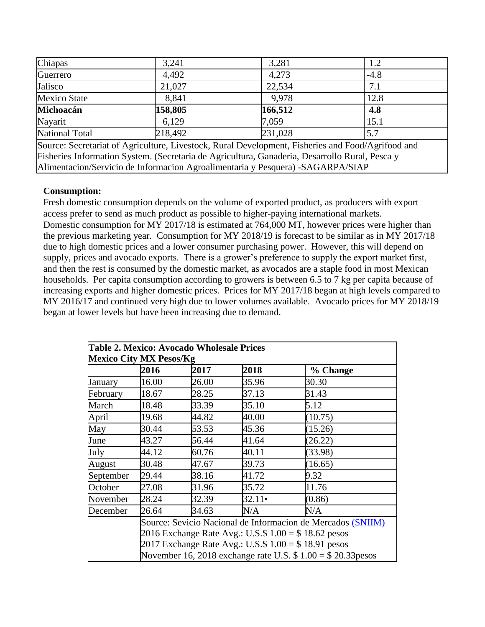| Chiapas                                                                                           | 3,241   | 3,281   | 1.2    |  |
|---------------------------------------------------------------------------------------------------|---------|---------|--------|--|
| Guerrero                                                                                          | 4,492   | 4,273   | $-4.8$ |  |
| Jalisco                                                                                           | 21,027  | 22,534  | 7.1    |  |
| <b>Mexico State</b>                                                                               | 8,841   | 9.978   | 12.8   |  |
| Michoacán                                                                                         | 158,805 | 166,512 | 4.8    |  |
| Nayarit                                                                                           | 6.129   | 7,059   | 15.1   |  |
| <b>National Total</b>                                                                             | 218,492 | 231,028 | 5.7    |  |
| Source: Secretariat of Agriculture, Livestock, Rural Development, Fisheries and Food/Agrifood and |         |         |        |  |
| Fisheries Information System. (Secretaria de Agricultura, Ganaderia, Desarrollo Rural, Pesca y    |         |         |        |  |

Alimentacion/Servicio de Informacion Agroalimentaria y Pesquera) -SAGARPA/SIAP

#### **Consumption:**

Fresh domestic consumption depends on the volume of exported product, as producers with export access prefer to send as much product as possible to higher-paying international markets. Domestic consumption for MY 2017/18 is estimated at 764,000 MT, however prices were higher than the previous marketing year. Consumption for MY 2018/19 is forecast to be similar as in MY 2017/18 due to high domestic prices and a lower consumer purchasing power. However, this will depend on supply, prices and avocado exports. There is a grower's preference to supply the export market first, and then the rest is consumed by the domestic market, as avocados are a staple food in most Mexican households. Per capita consumption according to growers is between 6.5 to 7 kg per capita because of increasing exports and higher domestic prices. Prices for MY 2017/18 began at high levels compared to MY 2016/17 and continued very high due to lower volumes available. Avocado prices for MY 2018/19 began at lower levels but have been increasing due to demand.

|                                | Table 2. Mexico: Avocado Wholesale Prices                                                                                                                                     |                                                             |               |          |  |
|--------------------------------|-------------------------------------------------------------------------------------------------------------------------------------------------------------------------------|-------------------------------------------------------------|---------------|----------|--|
| <b>Mexico City MX Pesos/Kg</b> |                                                                                                                                                                               |                                                             |               |          |  |
|                                | 2016                                                                                                                                                                          | 2017                                                        | 2018          | % Change |  |
| January                        | 16.00                                                                                                                                                                         | 26.00                                                       | 35.96         | 30.30    |  |
| February                       | 18.67                                                                                                                                                                         | 28.25                                                       | 37.13         | 31.43    |  |
| March                          | 18.48                                                                                                                                                                         | 33.39                                                       | 35.10         | 5.12     |  |
| April                          | 19.68                                                                                                                                                                         | 44.82                                                       | 40.00         | (10.75)  |  |
| May                            | 30.44                                                                                                                                                                         | 53.53                                                       | 45.36         | (15.26)  |  |
| June                           | 43.27                                                                                                                                                                         | 56.44                                                       | 41.64         | (26.22)  |  |
| July                           | 44.12                                                                                                                                                                         | 60.76                                                       | 40.11         | (33.98)  |  |
| August                         | 30.48                                                                                                                                                                         | 47.67                                                       | 39.73         | (16.65)  |  |
| September                      | 29.44                                                                                                                                                                         | 38.16                                                       | 41.72         | 9.32     |  |
| October                        | 27.08                                                                                                                                                                         | 31.96                                                       | 35.72         | 11.76    |  |
| November                       | 28.24                                                                                                                                                                         | 32.39                                                       | $32.11 \cdot$ | (0.86)   |  |
| December                       | 26.64                                                                                                                                                                         | 34.63                                                       | N/A           | N/A      |  |
|                                |                                                                                                                                                                               | Source: Sevicio Nacional de Informacion de Mercados (SNIIM) |               |          |  |
|                                | 2016 Exchange Rate Avg.: U.S.\$ $1.00 = $18.62$ pesos<br>2017 Exchange Rate Avg.: U.S.\$ $1.00 = $18.91$ pesos<br>November 16, 2018 exchange rate U.S. $$1.00 = $20.33$ pesos |                                                             |               |          |  |
|                                |                                                                                                                                                                               |                                                             |               |          |  |
|                                |                                                                                                                                                                               |                                                             |               |          |  |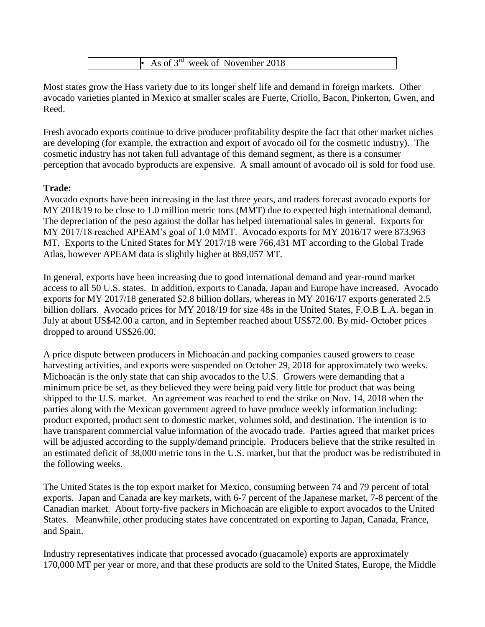

Most states grow the Hass variety due to its longer shelf life and demand in foreign markets. Other avocado varieties planted in Mexico at smaller scales are Fuerte, Criollo, Bacon, Pinkerton, Gwen, and Reed.

Fresh avocado exports continue to drive producer profitability despite the fact that other market niches are developing (for example, the extraction and export of avocado oil for the cosmetic industry). The cosmetic industry has not taken full advantage of this demand segment, as there is a consumer perception that avocado byproducts are expensive. A small amount of avocado oil is sold for food use.

## **Trade:**

Avocado exports have been increasing in the last three years, and traders forecast avocado exports for MY 2018/19 to be close to 1.0 million metric tons (MMT) due to expected high international demand. The depreciation of the peso against the dollar has helped international sales in general. Exports for MY 2017/18 reached APEAM's goal of 1.0 MMT. Avocado exports for MY 2016/17 were 873,963 MT. Exports to the United States for MY 2017/18 were 766,431 MT according to the Global Trade Atlas, however APEAM data is slightly higher at 869,057 MT.

In general, exports have been increasing due to good international demand and year-round market access to all 50 U.S. states. In addition, exports to Canada, Japan and Europe have increased. Avocado exports for MY 2017/18 generated \$2.8 billion dollars, whereas in MY 2016/17 exports generated 2.5 billion dollars. Avocado prices for MY 2018/19 for size 48s in the United States, F.O.B L.A. began in July at about US\$42.00 a carton, and in September reached about US\$72.00. By mid- October prices dropped to around US\$26.00.

A price dispute between producers in Michoacán and packing companies caused growers to cease harvesting activities, and exports were suspended on October 29, 2018 for approximately two weeks. Michoacán is the only state that can ship avocados to the U.S. Growers were demanding that a minimum price be set, as they believed they were being paid very little for product that was being shipped to the U.S. market. An agreement was reached to end the strike on Nov. 14, 2018 when the parties along with the Mexican government agreed to have produce weekly information including: product exported, product sent to domestic market, volumes sold, and destination. The intention is to have transparent commercial value information of the avocado trade. Parties agreed that market prices will be adjusted according to the supply/demand principle. Producers believe that the strike resulted in an estimated deficit of 38,000 metric tons in the U.S. market, but that the product was be redistributed in the following weeks.

The United States is the top export market for Mexico, consuming between 74 and 79 percent of total exports. Japan and Canada are key markets, with 6-7 percent of the Japanese market, 7-8 percent of the Canadian market. About forty-five packers in Michoacán are eligible to export avocados to the United States. Meanwhile, other producing states have concentrated on exporting to Japan, Canada, France, and Spain.

Industry representatives indicate that processed avocado (guacamole) exports are approximately 170,000 MT per year or more, and that these products are sold to the United States, Europe, the Middle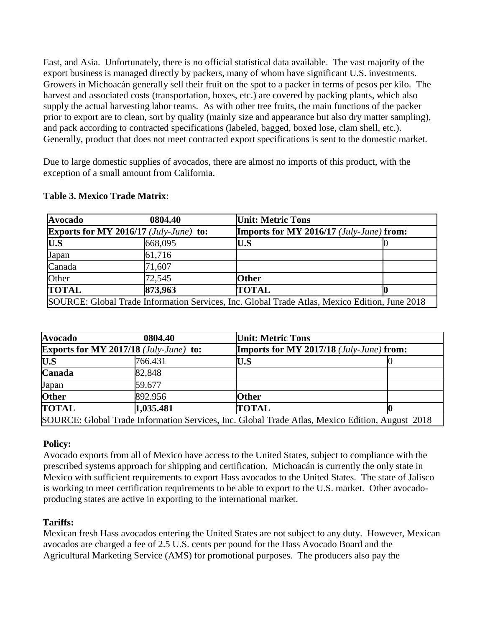East, and Asia. Unfortunately, there is no official statistical data available. The vast majority of the export business is managed directly by packers, many of whom have significant U.S. investments. Growers in Michoacán generally sell their fruit on the spot to a packer in terms of pesos per kilo. The harvest and associated costs (transportation, boxes, etc.) are covered by packing plants, which also supply the actual harvesting labor teams. As with other tree fruits, the main functions of the packer prior to export are to clean, sort by quality (mainly size and appearance but also dry matter sampling), and pack according to contracted specifications (labeled, bagged, boxed lose, clam shell, etc.). Generally, product that does not meet contracted export specifications is sent to the domestic market.

Due to large domestic supplies of avocados, there are almost no imports of this product, with the exception of a small amount from California.

| <b>Avocado</b>                                                                                | 0804.40 | <b>Unit: Metric Tons</b> |                                                 |  |
|-----------------------------------------------------------------------------------------------|---------|--------------------------|-------------------------------------------------|--|
| <b>Exports for MY 2016/17</b> ( <i>July-June</i> ) to:                                        |         |                          | <b>Imports for MY 2016/17</b> (July-June) from: |  |
| U.S                                                                                           | 668,095 | $\mathbf{U.S}$           |                                                 |  |
| Japan                                                                                         | 61,716  |                          |                                                 |  |
| Canada                                                                                        | 71,607  |                          |                                                 |  |
| Other                                                                                         | 72,545  | <b>Other</b>             |                                                 |  |
| <b>TOTAL</b>                                                                                  | 873,963 | <b>TOTAL</b>             |                                                 |  |
| SOURCE: Global Trade Information Services, Inc. Global Trade Atlas, Mexico Edition, June 2018 |         |                          |                                                 |  |

## **Table 3. Mexico Trade Matrix**:

| <b>Avocado</b>                                | 0804.40                                                                                         | <b>Unit: Metric Tons</b>                                 |  |
|-----------------------------------------------|-------------------------------------------------------------------------------------------------|----------------------------------------------------------|--|
| <b>Exports for MY 2017/18 (July-June) to:</b> |                                                                                                 | <b>Imports for MY 2017/18</b> ( <i>July-June</i> ) from: |  |
| U.S                                           | 766.431                                                                                         | U.S                                                      |  |
| <b>Canada</b>                                 | 82,848                                                                                          |                                                          |  |
| Japan                                         | 59.677                                                                                          |                                                          |  |
| <b>Other</b>                                  | 892.956                                                                                         | <b>Other</b>                                             |  |
| <b>TOTAL</b>                                  | 1,035.481                                                                                       | <b>TOTAL</b>                                             |  |
|                                               | SOURCE: Global Trade Information Services, Inc. Global Trade Atlas, Mexico Edition, August 2018 |                                                          |  |

## **Policy:**

Avocado exports from all of Mexico have access to the United States, subject to compliance with the prescribed systems approach for shipping and certification. Michoacán is currently the only state in Mexico with sufficient requirements to export Hass avocados to the United States. The state of Jalisco is working to meet certification requirements to be able to export to the U.S. market. Other avocadoproducing states are active in exporting to the international market.

# **Tariffs:**

Mexican fresh Hass avocados entering the United States are not subject to any duty. However, Mexican avocados are charged a fee of 2.5 U.S. cents per pound for the Hass Avocado Board and the Agricultural Marketing Service (AMS) for promotional purposes. The producers also pay the